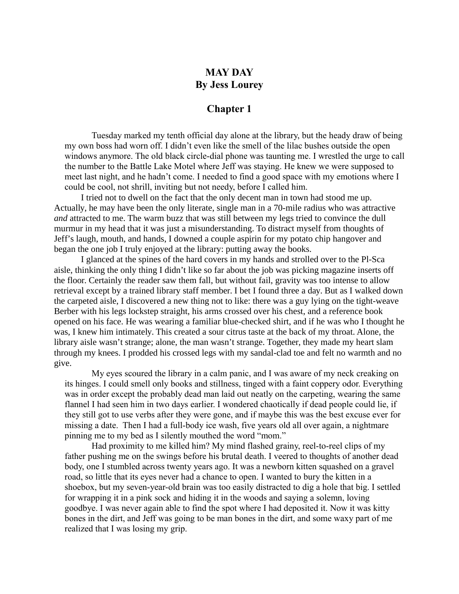# **MAY DAY By Jess Lourey**

#### **Chapter 1**

Tuesday marked my tenth official day alone at the library, but the heady draw of being my own boss had worn off. I didn't even like the smell of the lilac bushes outside the open windows anymore. The old black circle-dial phone was taunting me. I wrestled the urge to call the number to the Battle Lake Motel where Jeff was staying. He knew we were supposed to meet last night, and he hadn't come. I needed to find a good space with my emotions where I could be cool, not shrill, inviting but not needy, before I called him.

I tried not to dwell on the fact that the only decent man in town had stood me up. Actually, he may have been the only literate, single man in a 70-mile radius who was attractive *and* attracted to me. The warm buzz that was still between my legs tried to convince the dull murmur in my head that it was just a misunderstanding. To distract myself from thoughts of Jeff's laugh, mouth, and hands, I downed a couple aspirin for my potato chip hangover and began the one job I truly enjoyed at the library: putting away the books.

I glanced at the spines of the hard covers in my hands and strolled over to the Pl-Sca aisle, thinking the only thing I didn't like so far about the job was picking magazine inserts off the floor. Certainly the reader saw them fall, but without fail, gravity was too intense to allow retrieval except by a trained library staff member. I bet I found three a day. But as I walked down the carpeted aisle, I discovered a new thing not to like: there was a guy lying on the tight-weave Berber with his legs lockstep straight, his arms crossed over his chest, and a reference book opened on his face. He was wearing a familiar blue-checked shirt, and if he was who I thought he was, I knew him intimately. This created a sour citrus taste at the back of my throat. Alone, the library aisle wasn't strange; alone, the man wasn't strange. Together, they made my heart slam through my knees. I prodded his crossed legs with my sandal-clad toe and felt no warmth and no give.

My eyes scoured the library in a calm panic, and I was aware of my neck creaking on its hinges. I could smell only books and stillness, tinged with a faint coppery odor. Everything was in order except the probably dead man laid out neatly on the carpeting, wearing the same flannel I had seen him in two days earlier. I wondered chaotically if dead people could lie, if they still got to use verbs after they were gone, and if maybe this was the best excuse ever for missing a date. Then I had a full-body ice wash, five years old all over again, a nightmare pinning me to my bed as I silently mouthed the word "mom."

Had proximity to me killed him? My mind flashed grainy, reel-to-reel clips of my father pushing me on the swings before his brutal death. I veered to thoughts of another dead body, one I stumbled across twenty years ago. It was a newborn kitten squashed on a gravel road, so little that its eyes never had a chance to open. I wanted to bury the kitten in a shoebox, but my seven-year-old brain was too easily distracted to dig a hole that big. I settled for wrapping it in a pink sock and hiding it in the woods and saying a solemn, loving goodbye. I was never again able to find the spot where I had deposited it. Now it was kitty bones in the dirt, and Jeff was going to be man bones in the dirt, and some waxy part of me realized that I was losing my grip.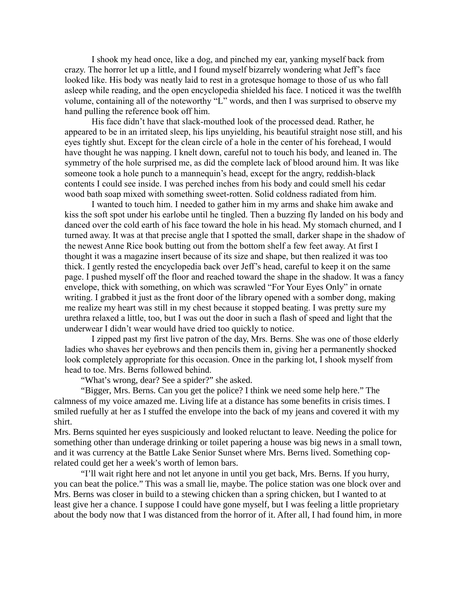I shook my head once, like a dog, and pinched my ear, yanking myself back from crazy. The horror let up a little, and I found myself bizarrely wondering what Jeff's face looked like. His body was neatly laid to rest in a grotesque homage to those of us who fall asleep while reading, and the open encyclopedia shielded his face. I noticed it was the twelfth volume, containing all of the noteworthy "L" words, and then I was surprised to observe my hand pulling the reference book off him.

His face didn't have that slack-mouthed look of the processed dead. Rather, he appeared to be in an irritated sleep, his lips unyielding, his beautiful straight nose still, and his eyes tightly shut. Except for the clean circle of a hole in the center of his forehead, I would have thought he was napping. I knelt down, careful not to touch his body, and leaned in. The symmetry of the hole surprised me, as did the complete lack of blood around him. It was like someone took a hole punch to a mannequin's head, except for the angry, reddish-black contents I could see inside. I was perched inches from his body and could smell his cedar wood bath soap mixed with something sweet-rotten. Solid coldness radiated from him.

I wanted to touch him. I needed to gather him in my arms and shake him awake and kiss the soft spot under his earlobe until he tingled. Then a buzzing fly landed on his body and danced over the cold earth of his face toward the hole in his head. My stomach churned, and I turned away. It was at that precise angle that I spotted the small, darker shape in the shadow of the newest Anne Rice book butting out from the bottom shelf a few feet away. At first I thought it was a magazine insert because of its size and shape, but then realized it was too thick. I gently rested the encyclopedia back over Jeff's head, careful to keep it on the same page. I pushed myself off the floor and reached toward the shape in the shadow. It was a fancy envelope, thick with something, on which was scrawled "For Your Eyes Only" in ornate writing. I grabbed it just as the front door of the library opened with a somber dong, making me realize my heart was still in my chest because it stopped beating. I was pretty sure my urethra relaxed a little, too, but I was out the door in such a flash of speed and light that the underwear I didn't wear would have dried too quickly to notice.

I zipped past my first live patron of the day, Mrs. Berns. She was one of those elderly ladies who shaves her eyebrows and then pencils them in, giving her a permanently shocked look completely appropriate for this occasion. Once in the parking lot, I shook myself from head to toe. Mrs. Berns followed behind.

"What's wrong, dear? See a spider?" she asked.

"Bigger, Mrs. Berns. Can you get the police? I think we need some help here." The calmness of my voice amazed me. Living life at a distance has some benefits in crisis times. I smiled ruefully at her as I stuffed the envelope into the back of my jeans and covered it with my shirt.

Mrs. Berns squinted her eyes suspiciously and looked reluctant to leave. Needing the police for something other than underage drinking or toilet papering a house was big news in a small town, and it was currency at the Battle Lake Senior Sunset where Mrs. Berns lived. Something coprelated could get her a week's worth of lemon bars.

"I'll wait right here and not let anyone in until you get back, Mrs. Berns. If you hurry, you can beat the police." This was a small lie, maybe. The police station was one block over and Mrs. Berns was closer in build to a stewing chicken than a spring chicken, but I wanted to at least give her a chance. I suppose I could have gone myself, but I was feeling a little proprietary about the body now that I was distanced from the horror of it. After all, I had found him, in more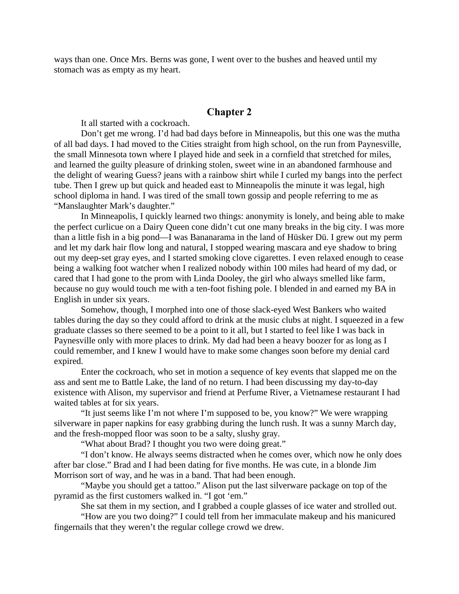ways than one. Once Mrs. Berns was gone, I went over to the bushes and heaved until my stomach was as empty as my heart.

### **Chapter 2**

It all started with a cockroach.

Don't get me wrong. I'd had bad days before in Minneapolis, but this one was the mutha of all bad days. I had moved to the Cities straight from high school, on the run from Paynesville, the small Minnesota town where I played hide and seek in a cornfield that stretched for miles, and learned the guilty pleasure of drinking stolen, sweet wine in an abandoned farmhouse and the delight of wearing Guess? jeans with a rainbow shirt while I curled my bangs into the perfect tube. Then I grew up but quick and headed east to Minneapolis the minute it was legal, high school diploma in hand. I was tired of the small town gossip and people referring to me as "Manslaughter Mark's daughter."

In Minneapolis, I quickly learned two things: anonymity is lonely, and being able to make the perfect curlicue on a Dairy Queen cone didn't cut one many breaks in the big city. I was more than a little fish in a big pond—I was Bananarama in the land of Hüsker Dü. I grew out my perm and let my dark hair flow long and natural, I stopped wearing mascara and eye shadow to bring out my deep-set gray eyes, and I started smoking clove cigarettes. I even relaxed enough to cease being a walking foot watcher when I realized nobody within 100 miles had heard of my dad, or cared that I had gone to the prom with Linda Dooley, the girl who always smelled like farm, because no guy would touch me with a ten-foot fishing pole. I blended in and earned my BA in English in under six years.

Somehow, though, I morphed into one of those slack-eyed West Bankers who waited tables during the day so they could afford to drink at the music clubs at night. I squeezed in a few graduate classes so there seemed to be a point to it all, but I started to feel like I was back in Paynesville only with more places to drink. My dad had been a heavy boozer for as long as I could remember, and I knew I would have to make some changes soon before my denial card expired.

Enter the cockroach, who set in motion a sequence of key events that slapped me on the ass and sent me to Battle Lake, the land of no return. I had been discussing my day-to-day existence with Alison, my supervisor and friend at Perfume River, a Vietnamese restaurant I had waited tables at for six years.

"It just seems like I'm not where I'm supposed to be, you know?" We were wrapping silverware in paper napkins for easy grabbing during the lunch rush. It was a sunny March day, and the fresh-mopped floor was soon to be a salty, slushy gray.

"What about Brad? I thought you two were doing great."

"I don't know. He always seems distracted when he comes over, which now he only does after bar close." Brad and I had been dating for five months. He was cute, in a blonde Jim Morrison sort of way, and he was in a band. That had been enough.

"Maybe you should get a tattoo." Alison put the last silverware package on top of the pyramid as the first customers walked in. "I got 'em."

She sat them in my section, and I grabbed a couple glasses of ice water and strolled out.

"How are you two doing?" I could tell from her immaculate makeup and his manicured fingernails that they weren't the regular college crowd we drew.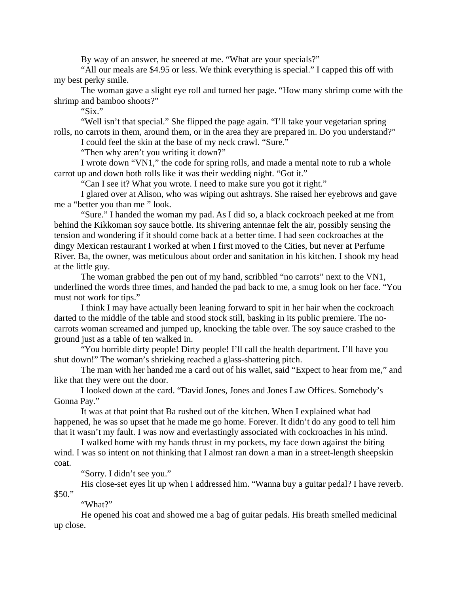By way of an answer, he sneered at me. "What are your specials?"

"All our meals are \$4.95 or less. We think everything is special." I capped this off with my best perky smile.

The woman gave a slight eye roll and turned her page. "How many shrimp come with the shrimp and bamboo shoots?"

"Six."

"Well isn't that special." She flipped the page again. "I'll take your vegetarian spring rolls, no carrots in them, around them, or in the area they are prepared in. Do you understand?"

I could feel the skin at the base of my neck crawl. "Sure."

"Then why aren't you writing it down?"

I wrote down "VN1," the code for spring rolls, and made a mental note to rub a whole carrot up and down both rolls like it was their wedding night. "Got it."

"Can I see it? What you wrote. I need to make sure you got it right."

I glared over at Alison, who was wiping out ashtrays. She raised her eyebrows and gave me a "better you than me " look.

"Sure." I handed the woman my pad. As I did so, a black cockroach peeked at me from behind the Kikkoman soy sauce bottle. Its shivering antennae felt the air, possibly sensing the tension and wondering if it should come back at a better time. I had seen cockroaches at the dingy Mexican restaurant I worked at when I first moved to the Cities, but never at Perfume River. Ba, the owner, was meticulous about order and sanitation in his kitchen. I shook my head at the little guy.

The woman grabbed the pen out of my hand, scribbled "no carrots" next to the VN1, underlined the words three times, and handed the pad back to me, a smug look on her face. "You must not work for tips."

I think I may have actually been leaning forward to spit in her hair when the cockroach darted to the middle of the table and stood stock still, basking in its public premiere. The nocarrots woman screamed and jumped up, knocking the table over. The soy sauce crashed to the ground just as a table of ten walked in.

"You horrible dirty people! Dirty people! I'll call the health department. I'll have you shut down!" The woman's shrieking reached a glass-shattering pitch.

The man with her handed me a card out of his wallet, said "Expect to hear from me," and like that they were out the door.

I looked down at the card. "David Jones, Jones and Jones Law Offices. Somebody's Gonna Pay."

It was at that point that Ba rushed out of the kitchen. When I explained what had happened, he was so upset that he made me go home. Forever. It didn't do any good to tell him that it wasn't my fault. I was now and everlastingly associated with cockroaches in his mind.

I walked home with my hands thrust in my pockets, my face down against the biting wind. I was so intent on not thinking that I almost ran down a man in a street-length sheepskin coat.

"Sorry. I didn't see you."

His close-set eyes lit up when I addressed him. "Wanna buy a guitar pedal? I have reverb. \$50."

"What?"

He opened his coat and showed me a bag of guitar pedals. His breath smelled medicinal up close.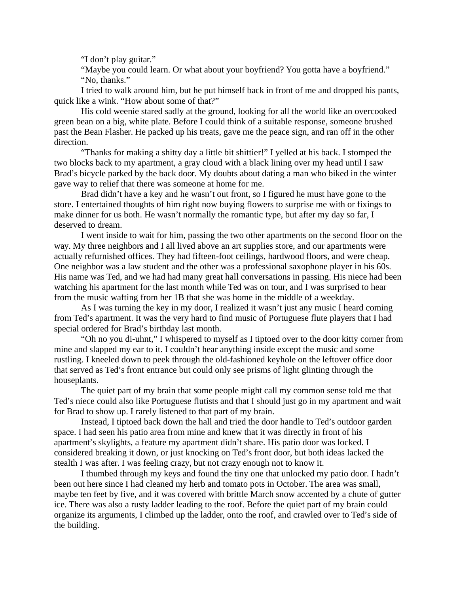"I don't play guitar."

"Maybe you could learn. Or what about your boyfriend? You gotta have a boyfriend." "No, thanks."

I tried to walk around him, but he put himself back in front of me and dropped his pants, quick like a wink. "How about some of that?"

His cold weenie stared sadly at the ground, looking for all the world like an overcooked green bean on a big, white plate. Before I could think of a suitable response, someone brushed past the Bean Flasher. He packed up his treats, gave me the peace sign, and ran off in the other direction.

"Thanks for making a shitty day a little bit shittier!" I yelled at his back. I stomped the two blocks back to my apartment, a gray cloud with a black lining over my head until I saw Brad's bicycle parked by the back door. My doubts about dating a man who biked in the winter gave way to relief that there was someone at home for me.

Brad didn't have a key and he wasn't out front, so I figured he must have gone to the store. I entertained thoughts of him right now buying flowers to surprise me with or fixings to make dinner for us both. He wasn't normally the romantic type, but after my day so far, I deserved to dream.

I went inside to wait for him, passing the two other apartments on the second floor on the way. My three neighbors and I all lived above an art supplies store, and our apartments were actually refurnished offices. They had fifteen-foot ceilings, hardwood floors, and were cheap. One neighbor was a law student and the other was a professional saxophone player in his 60s. His name was Ted, and we had had many great hall conversations in passing. His niece had been watching his apartment for the last month while Ted was on tour, and I was surprised to hear from the music wafting from her 1B that she was home in the middle of a weekday.

As I was turning the key in my door, I realized it wasn't just any music I heard coming from Ted's apartment. It was the very hard to find music of Portuguese flute players that I had special ordered for Brad's birthday last month.

"Oh no you di-uhnt," I whispered to myself as I tiptoed over to the door kitty corner from mine and slapped my ear to it. I couldn't hear anything inside except the music and some rustling. I kneeled down to peek through the old-fashioned keyhole on the leftover office door that served as Ted's front entrance but could only see prisms of light glinting through the houseplants.

The quiet part of my brain that some people might call my common sense told me that Ted's niece could also like Portuguese flutists and that I should just go in my apartment and wait for Brad to show up. I rarely listened to that part of my brain.

Instead, I tiptoed back down the hall and tried the door handle to Ted's outdoor garden space. I had seen his patio area from mine and knew that it was directly in front of his apartment's skylights, a feature my apartment didn't share. His patio door was locked. I considered breaking it down, or just knocking on Ted's front door, but both ideas lacked the stealth I was after. I was feeling crazy, but not crazy enough not to know it.

I thumbed through my keys and found the tiny one that unlocked my patio door. I hadn't been out here since I had cleaned my herb and tomato pots in October. The area was small, maybe ten feet by five, and it was covered with brittle March snow accented by a chute of gutter ice. There was also a rusty ladder leading to the roof. Before the quiet part of my brain could organize its arguments, I climbed up the ladder, onto the roof, and crawled over to Ted's side of the building.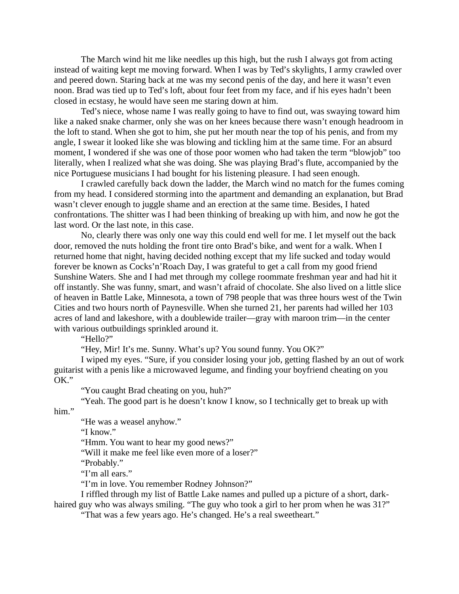The March wind hit me like needles up this high, but the rush I always got from acting instead of waiting kept me moving forward. When I was by Ted's skylights, I army crawled over and peered down. Staring back at me was my second penis of the day, and here it wasn't even noon. Brad was tied up to Ted's loft, about four feet from my face, and if his eyes hadn't been closed in ecstasy, he would have seen me staring down at him.

Ted's niece, whose name I was really going to have to find out, was swaying toward him like a naked snake charmer, only she was on her knees because there wasn't enough headroom in the loft to stand. When she got to him, she put her mouth near the top of his penis, and from my angle, I swear it looked like she was blowing and tickling him at the same time. For an absurd moment, I wondered if she was one of those poor women who had taken the term "blowjob" too literally, when I realized what she was doing. She was playing Brad's flute, accompanied by the nice Portuguese musicians I had bought for his listening pleasure. I had seen enough.

I crawled carefully back down the ladder, the March wind no match for the fumes coming from my head. I considered storming into the apartment and demanding an explanation, but Brad wasn't clever enough to juggle shame and an erection at the same time. Besides, I hated confrontations. The shitter was I had been thinking of breaking up with him, and now he got the last word. Or the last note, in this case.

No, clearly there was only one way this could end well for me. I let myself out the back door, removed the nuts holding the front tire onto Brad's bike, and went for a walk. When I returned home that night, having decided nothing except that my life sucked and today would forever be known as Cocks'n'Roach Day, I was grateful to get a call from my good friend Sunshine Waters. She and I had met through my college roommate freshman year and had hit it off instantly. She was funny, smart, and wasn't afraid of chocolate. She also lived on a little slice of heaven in Battle Lake, Minnesota, a town of 798 people that was three hours west of the Twin Cities and two hours north of Paynesville. When she turned 21, her parents had willed her 103 acres of land and lakeshore, with a doublewide trailer—gray with maroon trim—in the center with various outbuildings sprinkled around it.

"Hello?"

"Hey, Mir! It's me. Sunny. What's up? You sound funny. You OK?"

I wiped my eyes. "Sure, if you consider losing your job, getting flashed by an out of work guitarist with a penis like a microwaved legume, and finding your boyfriend cheating on you OK."

"You caught Brad cheating on you, huh?"

"Yeah. The good part is he doesn't know I know, so I technically get to break up with

him."

"He was a weasel anyhow."

"I know."

"Hmm. You want to hear my good news?"

"Will it make me feel like even more of a loser?"

"Probably."

"I'm all ears."

"I'm in love. You remember Rodney Johnson?"

I riffled through my list of Battle Lake names and pulled up a picture of a short, darkhaired guy who was always smiling. "The guy who took a girl to her prom when he was 31?"

"That was a few years ago. He's changed. He's a real sweetheart."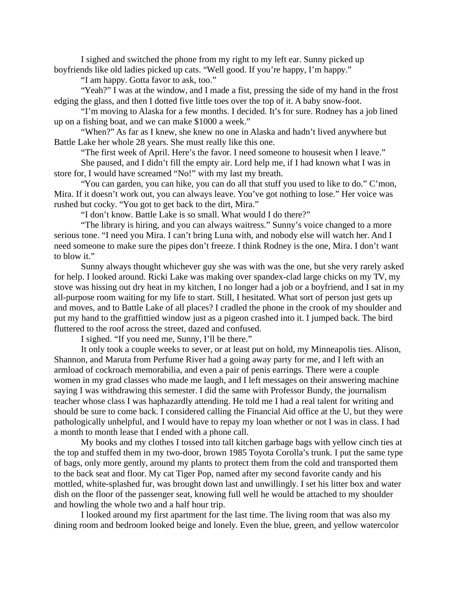I sighed and switched the phone from my right to my left ear. Sunny picked up boyfriends like old ladies picked up cats. "Well good. If you're happy, I'm happy."

"I am happy. Gotta favor to ask, too."

"Yeah?" I was at the window, and I made a fist, pressing the side of my hand in the frost edging the glass, and then I dotted five little toes over the top of it. A baby snow-foot.

"I'm moving to Alaska for a few months. I decided. It's for sure. Rodney has a job lined up on a fishing boat, and we can make \$1000 a week."

"When?" As far as I knew, she knew no one in Alaska and hadn't lived anywhere but Battle Lake her whole 28 years. She must really like this one.

"The first week of April. Here's the favor. I need someone to housesit when I leave."

She paused, and I didn't fill the empty air. Lord help me, if I had known what I was in store for, I would have screamed "No!" with my last my breath.

"You can garden, you can hike, you can do all that stuff you used to like to do." C'mon, Mira. If it doesn't work out, you can always leave. You've got nothing to lose." Her voice was rushed but cocky. "You got to get back to the dirt, Mira."

"I don't know. Battle Lake is so small. What would I do there?"

"The library is hiring, and you can always waitress." Sunny's voice changed to a more serious tone. "I need you Mira. I can't bring Luna with, and nobody else will watch her. And I need someone to make sure the pipes don't freeze. I think Rodney is the one, Mira. I don't want to blow it."

Sunny always thought whichever guy she was with was the one, but she very rarely asked for help. I looked around. Ricki Lake was making over spandex-clad large chicks on my TV, my stove was hissing out dry heat in my kitchen, I no longer had a job or a boyfriend, and I sat in my all-purpose room waiting for my life to start. Still, I hesitated. What sort of person just gets up and moves, and to Battle Lake of all places? I cradled the phone in the crook of my shoulder and put my hand to the graffittied window just as a pigeon crashed into it. I jumped back. The bird fluttered to the roof across the street, dazed and confused.

I sighed. "If you need me, Sunny, I'll be there."

It only took a couple weeks to sever, or at least put on hold, my Minneapolis ties. Alison, Shannon, and Maruta from Perfume River had a going away party for me, and I left with an armload of cockroach memorabilia, and even a pair of penis earrings. There were a couple women in my grad classes who made me laugh, and I left messages on their answering machine saying I was withdrawing this semester. I did the same with Professor Bundy, the journalism teacher whose class I was haphazardly attending. He told me I had a real talent for writing and should be sure to come back. I considered calling the Financial Aid office at the U, but they were pathologically unhelpful, and I would have to repay my loan whether or not I was in class. I had a month to month lease that I ended with a phone call.

My books and my clothes I tossed into tall kitchen garbage bags with yellow cinch ties at the top and stuffed them in my two-door, brown 1985 Toyota Corolla's trunk. I put the same type of bags, only more gently, around my plants to protect them from the cold and transported them to the back seat and floor. My cat Tiger Pop, named after my second favorite candy and his mottled, white-splashed fur, was brought down last and unwillingly. I set his litter box and water dish on the floor of the passenger seat, knowing full well he would be attached to my shoulder and howling the whole two and a half hour trip.

I looked around my first apartment for the last time. The living room that was also my dining room and bedroom looked beige and lonely. Even the blue, green, and yellow watercolor